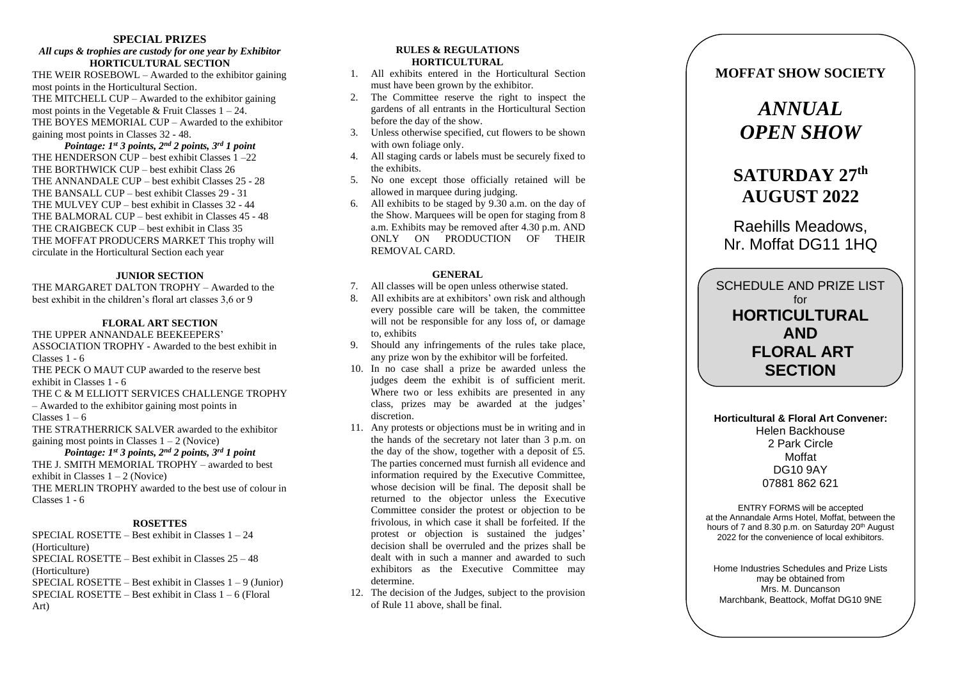#### **SPECIAL PRIZES**

#### *All cups & trophies are custody for one year by Exhibitor* **HORTICULTURAL SECTION**

THE WEIR ROSEBOWL – Awarded to the exhibitor gaining most points in the Horticultural Section . THE MITCHELL CUP – Awarded to the exhibitor gaining most points in the Vegetable  $&$  Fruit Classes  $1 - 24$ . THE BOYES MEMORIAL CUP – Awarded to the exhibitor gaining most points in Classes 32 - 48 .

*Pointage: 1st 3 points, 2nd 2 points, 3rd 1 point* THE HENDERSON CUP – best exhibit Classes 1 –22 THE BORTHWICK CUP – best exhibit Class 26 THE ANNANDALE CUP – best exhibit Classes 25 - 28 THE BANSALL CUP – best exhibit Classes 2 9 - 31 THE MULVEY CUP – best exhibit in Classes 32 - 4 4 THE BALMORAL CUP – best exhibit in Classes 4 5 - 48 THE CRAIGBECK CUP – best exhibit in Class 3 5 THE MOFFAT PRODUCERS MARKET This trophy will circulate in the Horticultural Section each year

#### **JUNIOR SECTION**

THE MARGARET DALTON TROPHY – Awarded to the best exhibit in the children's floral art classes 3,6 or 9

#### **FLORAL ART SECTION**

THE UPPER ANNANDALE BEEKEEPERS' ASSOCIATION TROPHY - Awarded to the best exhibit in Classes 1 - 6

THE PECK O MAUT CUP awarded to the reserve best exhibit in Classes 1 - <sup>6</sup>

THE C & M ELLIOTT SERVICES CHALLENGE TROPHY – Awarded to the exhibitor gaining most points in

Classes  $1-6$ 

THE STRATHERRICK SALVER awarded to the exhibitor gaining most points in Classes  $1 - 2$  (Novice)

*Pointage: 1st 3 points, 2nd 2 points, 3rd 1 point* THE J. SMITH MEMORIAL TROPHY – awarded to best exhibit in Classes 1 – 2 (Novice) THE MERLIN TROPHY awarded to the best use of colour in Classes 1 - 6

#### **ROSETTES**

SPECIAL ROSETTE – Best exhibit in Classes 1 – 24 (Horticulture) SPECIAL ROSETTE – Best exhibit in Classes 25 – 48 (Horticulture ) SPECIAL ROSETTE – Best exhibit in Classes 1 – 9 (Junior) SPECIAL ROSETTE – Best exhibit in Class 1 – 6 (Floral Art)

#### **RULES & REGULATIONS HORTICULTURAL**

1. All exhibits entered in the Horticultural Section must have been grown by the exhibitor.

- 2. The Committee reserve the right to inspect the gardens of all entrants in the Horticultural Section before the day of the show.
- 3. Unless otherwise specified, cut flowers to be shown with own foliage only.
- 4. All staging cards or labels must be securely fixed to the exhibits .
- 5. No one except those officially retained will be allowed in marquee during judging.
- 6. All exhibits to be staged by 9.30 a.m. on the day of the Show. Marquees will be open for staging from 8 a.m. Exhibits may be removed after 4.30 p.m. AND ONLY ON PRODUCTION OF THEIR REMOVAL CARD .

#### **GENERAL**

- 7. All classes will be open unless otherwise stated .
- 8. All exhibits are at exhibitors' own risk and although every possible care will be take n, the committee will not be responsible for any loss of, or damage to, exhibits
- 9. Should any infringements of the rules take place, any prize won by the exhibitor will be forfeited.
- 10. In no case shall a prize be awarded unless the judges deem the exhibit is of sufficient merit. Where two or less exhibits are presented in any class, prizes may be awarded at the judges ' discretion.
- 11. Any protests or objections must be in writing and in the hands of the secretary not later than 3 p.m. on the day of the show, together with a deposit of £5. The parties concerned must furnish all evidence and information required by the Executive Committee, whose decision will be final. The deposit shall be returned to the objector unless the Executive Committee consider the protest or objection to be frivolous, in which case it shall be forfeited. If the protest or objection is sustained the judges ' decision shall be overruled and the prizes shall be dealt with in such a manner and awarded to such exhibitors as the Executive Committee may determine.
- 12. The decision of the Judges, subject to the provision of Rule 11 above , shall be final.

# **MOFFAT SHOW SOCIETY**

# *ANNUAL OPEN SHOW*

# **SATURDAY 27th AUGUST 2022**

Raehills Meadows, Nr. Moffat D G11 1HQ

SCHEDULE AND PRIZE LIST OF A SCHEDULE AND PRIZE LIST for **HORTICULTURAL HORTICULTURAL CONDUCTS FLORAL ART** SCHEDULE AND PRIZE LIST for **SECTION**

**Horticultural & Floral Art Convener :** Helen Backhouse 2 Park Circle Moffat DG10 9AY 07881 862 621

ENTRY FORMS will be accepted at the Annandale Arms Hotel, Mo ffat, between the hours of 7 and 8.30 p.m. on Saturday 20<sup>th</sup> August 2022 for the convenience of local exhibitors.

Home Industries Schedules and Prize Lists may be obtained from Mrs. M. Duncanson Marchbank, Beattock, Moffat DG10 9NE